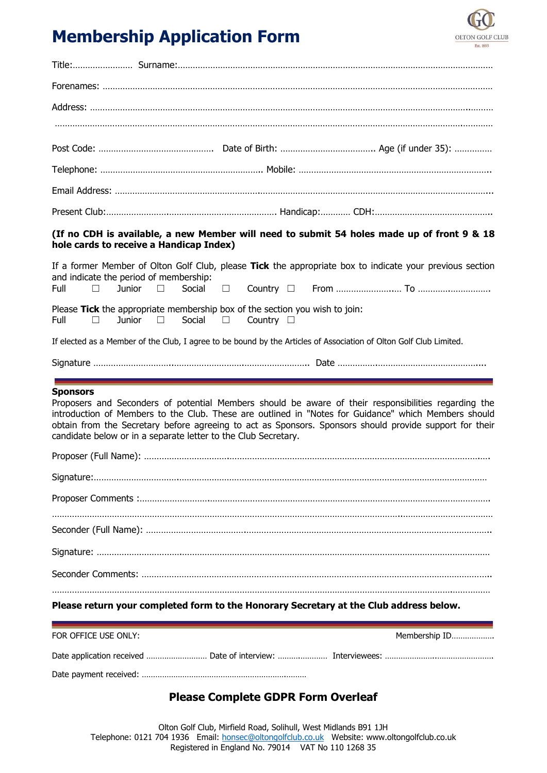# **Membership Application Form**



| (If no CDH is available, a new Member will need to submit 54 holes made up of front 9 & 18 |  |
|--------------------------------------------------------------------------------------------|--|

### **(If no CDH is available, a new Member will need to submit 54 holes made up of front 9 & 18 hole cards to receive a Handicap Index)**

|                                                                             |  |  |  | If a former Member of Olton Golf Club, please Tick the appropriate box to indicate your previous section<br>and indicate the period of membership: |  |  |  |  |  |  |
|-----------------------------------------------------------------------------|--|--|--|----------------------------------------------------------------------------------------------------------------------------------------------------|--|--|--|--|--|--|
|                                                                             |  |  |  |                                                                                                                                                    |  |  |  |  |  |  |
| Please Tick the appropriate membership box of the section you wish to join: |  |  |  |                                                                                                                                                    |  |  |  |  |  |  |
|                                                                             |  |  |  | Full $\Box$ Junior $\Box$ Social $\Box$ Country $\Box$                                                                                             |  |  |  |  |  |  |

If elected as a Member of the Club, I agree to be bound by the Articles of Association of Olton Golf Club Limited.

Signature …………………………..……………………….…………………….. Date …………….…………………………………....

#### **Sponsors**

Proposers and Seconders of potential Members should be aware of their responsibilities regarding the introduction of Members to the Club. These are outlined in "Notes for Guidance" which Members should obtain from the Secretary before agreeing to act as Sponsors. Sponsors should provide support for their candidate below or in a separate letter to the Club Secretary.

## **Please return your completed form to the Honorary Secretary at the Club address below.**

| FOR OFFICE USE ONLY: |  | Membership ID |
|----------------------|--|---------------|
|                      |  |               |
|                      |  |               |

## **Please Complete GDPR Form Overleaf**